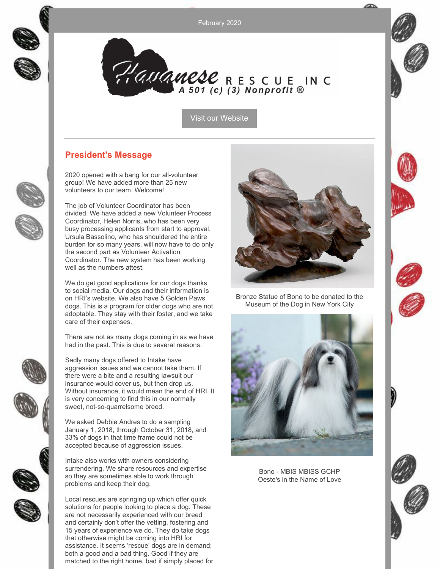February 2020



Hauanese RESCUE INC

Visit our [Website](http://havaneserescue.com)

### **President's Message**

2020 opened with a bang for our all-volunteer group! We have added more than 25 new volunteers to our team. Welcome!

The job of Volunteer Coordinator has been divided. We have added a new Volunteer Process Coordinator, Helen Norris, who has been very busy processing applicants from start to approval. Ursula Bassolino, who has shouldered the entire burden for so many years, will now have to do only the second part as Volunteer Activation Coordinator. The new system has been working well as the numbers attest.

We do get good applications for our dogs thanks to social media. Our dogs and their information is on HRI's website. We also have 5 Golden Paws dogs. This is a program for older dogs who are not adoptable. They stay with their foster, and we take care of their expenses.

There are not as many dogs coming in as we have had in the past. This is due to several reasons.

Sadly many dogs offered to Intake have aggression issues and we cannot take them. If there were a bite and a resulting lawsuit our insurance would cover us, but then drop us. Without insurance, it would mean the end of HRI. It is very concerning to find this in our normally sweet, not-so-quarrelsome breed.

We asked Debbie Andres to do a sampling January 1, 2018, through October 31, 2018, and 33% of dogs in that time frame could not be accepted because of aggression issues.

Intake also works with owners considering surrendering. We share resources and expertise so they are sometimes able to work through problems and keep their dog.

Local rescues are springing up which offer quick solutions for people looking to place a dog. These are not necessarily experienced with our breed and certainly don't offer the vetting, fostering and 15 years of experience we do. They do take dogs that otherwise might be coming into HRI for assistance. It seems 'rescue' dogs are in demand; both a good and a bad thing. Good if they are matched to the right home, bad if simply placed for



Bronze Statue of Bono to be donated to the Museum of the Dog in New York City



Bono - MBIS MBISS GCHP Oeste's in the Name of Love





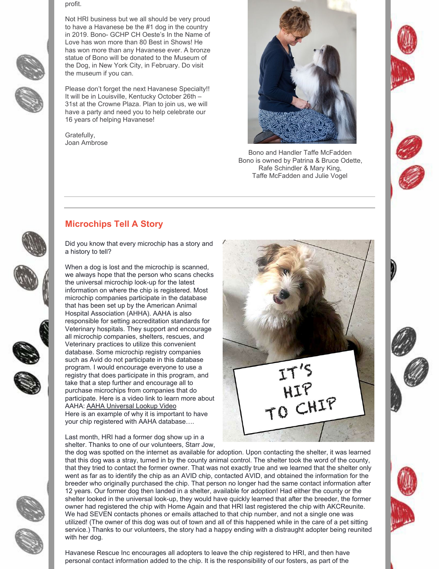



Not HRI business but we all should be very proud to have a Havanese be the #1 dog in the country in 2019. Bono- GCHP CH Oeste's In the Name of Love has won more than 80 Best in Shows! He has won more than any Havanese ever. A bronze statue of Bono will be donated to the Museum of the Dog, in New York City, in February. Do visit the museum if you can.

Please don't forget the next Havanese Specialty!! It will be in Louisville, Kentucky October 26th – 31st at the Crowne Plaza. Plan to join us, we will have a party and need you to help celebrate our 16 years of helping Havanese!

Gratefully, Joan Ambrose

profit.



Bono and Handler Taffe McFadden Bono is owned by Patrina & Bruce Odette, Rafe Schindler & Mary King, Taffe McFadden and Julie Vogel





# **Microchips Tell A Story**

Did you know that every microchip has a story and a history to tell?

When a dog is lost and the microchip is scanned, we always hope that the person who scans checks the universal microchip look-up for the latest information on where the chip is registered. Most microchip companies participate in the database that has been set up by the American Animal Hospital Association (AHHA). AAHA is also responsible for setting accreditation standards for Veterinary hospitals. They support and encourage all microchip companies, shelters, rescues, and Veterinary practices to utilize this convenient database. Some microchip registry companies such as Avid do not participate in this database program. I would encourage everyone to use a registry that does participate in this program, and take that a step further and encourage all to purchase microchips from companies that do participate. Here is a video link to learn more about AAHA: AAHA [Universal](https://www.youtube.com/watch?v=jthjs8NngrU&feature=youtu.be) Lookup Video Here is an example of why it is important to have your chip registered with AAHA database….

Last month, HRI had a former dog show up in a shelter. Thanks to one of our volunteers, Starr Jow,



the dog was spotted on the internet as available for adoption. Upon contacting the shelter, it was learned that this dog was a stray, turned in by the county animal control. The shelter took the word of the county, that they tried to contact the former owner. That was not exactly true and we learned that the shelter only went as far as to identify the chip as an AVID chip, contacted AVID, and obtained the information for the breeder who originally purchased the chip. That person no longer had the same contact information after 12 years. Our former dog then landed in a shelter, available for adoption! Had either the county or the shelter looked in the universal look-up, they would have quickly learned that after the breeder, the former owner had registered the chip with Home Again and that HRI last registered the chip with AKCReunite. We had SEVEN contacts phones or emails attached to that chip number, and not a single one was utilized! (The owner of this dog was out of town and all of this happened while in the care of a pet sitting service.) Thanks to our volunteers, the story had a happy ending with a distraught adopter being reunited with her dog.

Havanese Rescue Inc encourages all adopters to leave the chip registered to HRI, and then have personal contact information added to the chip. It is the responsibility of our fosters, as part of the





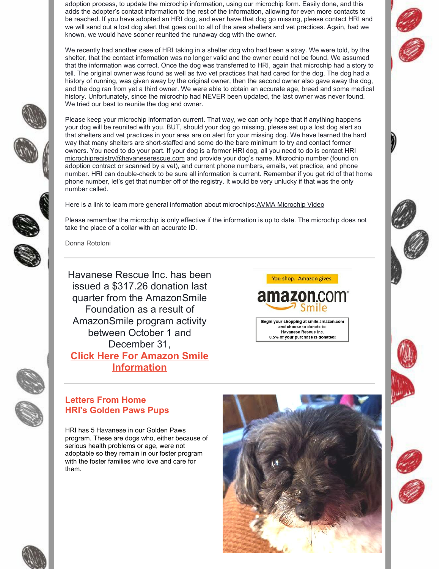adoption process, to update the microchip information, using our microchip form. Easily done, and this adds the adopter's contact information to the rest of the information, allowing for even more contacts to be reached. If you have adopted an HRI dog, and ever have that dog go missing, please contact HRI and we will send out a lost dog alert that goes out to all of the area shelters and vet practices. Again, had we known, we would have sooner reunited the runaway dog with the owner.

We recently had another case of HRI taking in a shelter dog who had been a stray. We were told, by the shelter, that the contact information was no longer valid and the owner could not be found. We assumed that the information was correct. Once the dog was transferred to HRI, again that microchip had a story to tell. The original owner was found as well as two vet practices that had cared for the dog. The dog had a history of running, was given away by the original owner, then the second owner also gave away the dog, and the dog ran from yet a third owner. We were able to obtain an accurate age, breed and some medical history. Unfortunately, since the microchip had NEVER been updated, the last owner was never found. We tried our best to reunite the dog and owner.

Please keep your microchip information current. That way, we can only hope that if anything happens your dog will be reunited with you. BUT, should your dog go missing, please set up a lost dog alert so that shelters and vet practices in your area are on alert for your missing dog. We have learned the hard way that many shelters are short-staffed and some do the bare minimum to try and contact former owners. You need to do your part. If your dog is a former HRI dog, all you need to do is contact HRI [microchipregistry@havaneserescue.com](mailto:microchipregistry@havaneserescue.com) and provide your dog's name, Microchip number (found on adoption contract or scanned by a vet), and current phone numbers, emails, vet practice, and phone number. HRI can double-check to be sure all information is current. Remember if you get rid of that home phone number, let's get that number off of the registry. It would be very unlucky if that was the only number called.

Here is a link to learn more general information about microchips:AVMA [Microchip](https://www.youtube.com/watch?v=-j-KAxujbPM) Video

Please remember the microchip is only effective if the information is up to date. The microchip does not take the place of a collar with an accurate ID.

Donna Rotoloni

Havanese Rescue Inc. has been issued a \$317.26 donation last quarter from the AmazonSmile Foundation as a result of AmazonSmile program activity between October 1 and December 31,

**Click Here For Amazon Smile [Information](https://www.amazon.com/gp/help/customer/display.html?nodeId=202029360)**

**amazon**.com

You shop. Amazon gives.

Begin your shopping at smile.amazon.com and choose to donate to Havanese Rescue Inc. 0.5% of your purchase is donated!

### **Letters From Home HRI's Golden Paws Pups**

HRI has 5 Havanese in our Golden Paws program. These are dogs who, either because of serious health problems or age, were not adoptable so they remain in our foster program with the foster families who love and care for them.







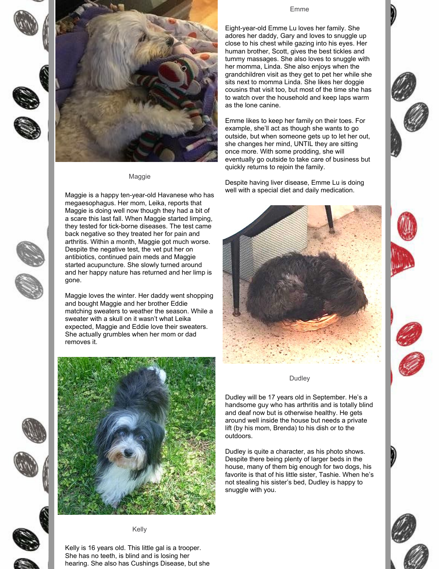



#### Maggie

Maggie is a happy ten-year-old Havanese who has megaesophagus. Her mom, Leika, reports that Maggie is doing well now though they had a bit of a scare this last fall. When Maggie started limping, they tested for tick-borne diseases. The test came back negative so they treated her for pain and arthritis. Within a month, Maggie got much worse. Despite the negative test, the vet put her on antibiotics, continued pain meds and Maggie started acupuncture. She slowly turned around and her happy nature has returned and her limp is gone.

Maggie loves the winter. Her daddy went shopping and bought Maggie and her brother Eddie matching sweaters to weather the season. While a sweater with a skull on it wasn't what Leika expected, Maggie and Eddie love their sweaters. She actually grumbles when her mom or dad removes it.

#### Emme

Eight-year-old Emme Lu loves her family. She adores her daddy, Gary and loves to snuggle up close to his chest while gazing into his eyes. Her human brother, Scott, gives the best tickles and tummy massages. She also loves to snuggle with her momma, Linda. She also enjoys when the grandchildren visit as they get to pet her while she sits next to momma Linda. She likes her doggie cousins that visit too, but most of the time she has to watch over the household and keep laps warm as the lone canine.

Emme likes to keep her family on their toes. For example, she'll act as though she wants to go outside, but when someone gets up to let her out, she changes her mind, UNTIL they are sitting once more. With some prodding, she will eventually go outside to take care of business but quickly returns to rejoin the family.

Despite having liver disease, Emme Lu is doing well with a special diet and daily medication.



#### Dudley

Dudley will be 17 years old in September. He's a handsome guy who has arthritis and is totally blind and deaf now but is otherwise healthy. He gets around well inside the house but needs a private lift (by his mom, Brenda) to his dish or to the outdoors.

Dudley is quite a character, as his photo shows. Despite there being plenty of larger beds in the house, many of them big enough for two dogs, his favorite is that of his little sister, Tashie. When he's not stealing his sister's bed, Dudley is happy to snuggle with you.











Kelly is 16 years old. This little gal is a trooper. She has no teeth, is blind and is losing her hearing. She also has Cushings Disease, but she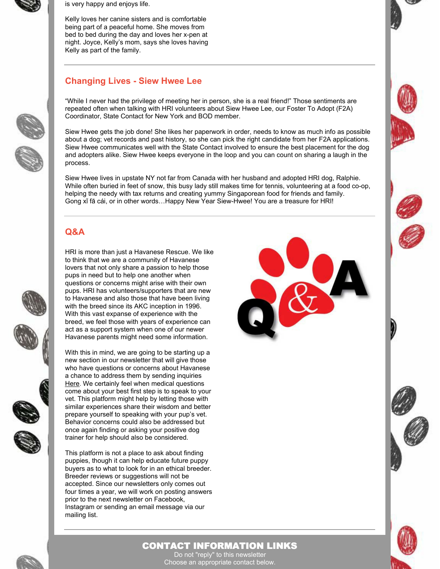

is very happy and enjoys life.

Kelly loves her canine sisters and is comfortable being part of a peaceful home. She moves from bed to bed during the day and loves her x-pen at night. Joyce, Kelly's mom, says she loves having Kelly as part of the family.

## **Changing Lives - Siew Hwee Lee**

"While I never had the privilege of meeting her in person, she is a real friend!" Those sentiments are repeated often when talking with HRI volunteers about Siew Hwee Lee, our Foster To Adopt (F2A) Coordinator, State Contact for New York and BOD member.

Siew Hwee gets the job done! She likes her paperwork in order, needs to know as much info as possible about a dog; vet records and past history, so she can pick the right candidate from her F2A applications. Siew Hwee communicates well with the State Contact involved to ensure the best placement for the dog and adopters alike. Siew Hwee keeps everyone in the loop and you can count on sharing a laugh in the process.

Siew Hwee lives in upstate NY not far from Canada with her husband and adopted HRI dog, Ralphie. While often buried in feet of snow, this busy lady still makes time for tennis, volunteering at a food co-op, helping the needy with tax returns and creating yummy Singaporean food for friends and family. Gong xǐ fā cái, or in other words…Happy New Year Siew-Hwee! You are a treasure for HRI!

## **Q&A**



HRI is more than just a Havanese Rescue. We like to think that we are a community of Havanese lovers that not only share a passion to help those pups in need but to help one another when questions or concerns might arise with their own pups. HRI has volunteers/supporters that are new to Havanese and also those that have been living with the breed since its AKC inception in 1996. With this vast expanse of experience with the breed, we feel those with years of experience can act as a support system when one of our newer Havanese parents might need some information.

With this in mind, we are going to be starting up a new section in our newsletter that will give those who have questions or concerns about Havanese a chance to address them by sending inquiries [Here](mailto:newsletter@havaneserescue.com). We certainly feel when medical questions come about your best first step is to speak to your vet. This platform might help by letting those with similar experiences share their wisdom and better prepare yourself to speaking with your pup's vet. Behavior concerns could also be addressed but once again finding or asking your positive dog trainer for help should also be considered.

This platform is not a place to ask about finding puppies, though it can help educate future puppy buyers as to what to look for in an ethical breeder. Breeder reviews or suggestions will not be accepted. Since our newsletters only comes out four times a year, we will work on posting answers prior to the next newsletter on Facebook, Instagram or sending an email message via our mailing list.











### CONTACT INFORMATION LINKS

Do not "reply" to this newsletter Choose an appropriate contact below.